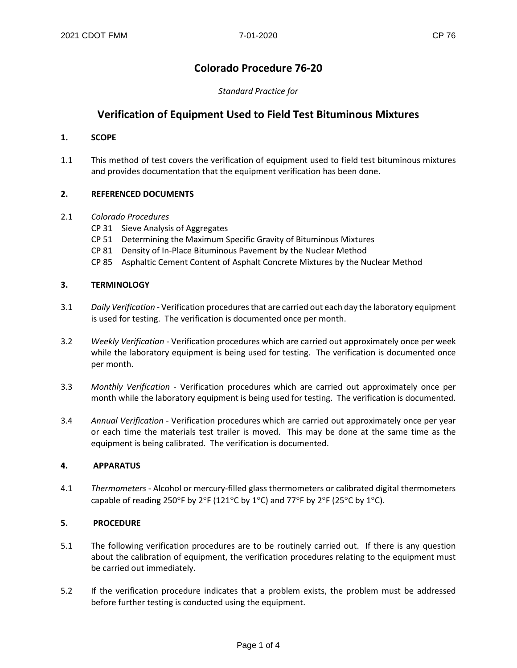# **Colorado Procedure 76-20**

## *Standard Practice for*

# **Verification of Equipment Used to Field Test Bituminous Mixtures**

#### **1. SCOPE**

1.1 This method of test covers the verification of equipment used to field test bituminous mixtures and provides documentation that the equipment verification has been done.

## **2. REFERENCED DOCUMENTS**

#### 2.1 *Colorado Procedures*

- CP 31 Sieve Analysis of Aggregates
- CP 51 Determining the Maximum Specific Gravity of Bituminous Mixtures
- CP 81 Density of In-Place Bituminous Pavement by the Nuclear Method
- CP 85 Asphaltic Cement Content of Asphalt Concrete Mixtures by the Nuclear Method

## **3. TERMINOLOGY**

- 3.1 *Daily Verification* Verification procedures that are carried out each day the laboratory equipment is used for testing. The verification is documented once per month.
- 3.2 *Weekly Verification* Verification procedures which are carried out approximately once per week while the laboratory equipment is being used for testing. The verification is documented once per month.
- 3.3 *Monthly Verification* Verification procedures which are carried out approximately once per month while the laboratory equipment is being used for testing. The verification is documented.
- 3.4 *Annual Verification* Verification procedures which are carried out approximately once per year or each time the materials test trailer is moved. This may be done at the same time as the equipment is being calibrated. The verification is documented.

#### **4. APPARATUS**

4.1 *Thermometers* - Alcohol or mercury-filled glass thermometers or calibrated digital thermometers capable of reading 250°F by 2°F (121°C by 1°C) and 77°F by 2°F (25°C by 1°C).

#### **5. PROCEDURE**

- 5.1 The following verification procedures are to be routinely carried out. If there is any question about the calibration of equipment, the verification procedures relating to the equipment must be carried out immediately.
- 5.2 If the verification procedure indicates that a problem exists, the problem must be addressed before further testing is conducted using the equipment.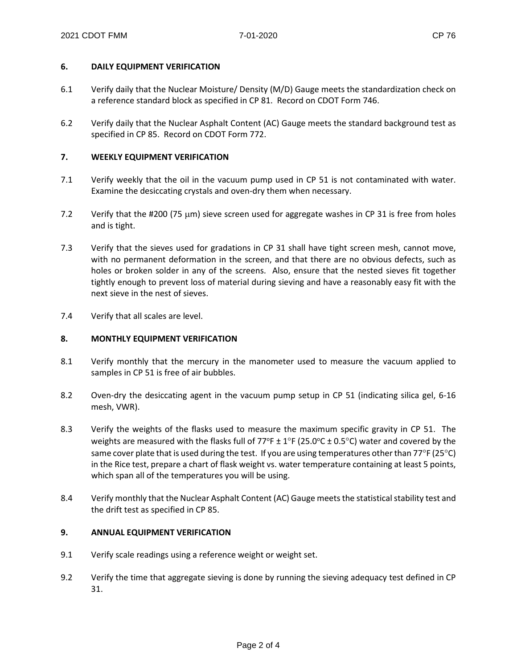#### **6. DAILY EQUIPMENT VERIFICATION**

- 6.1 Verify daily that the Nuclear Moisture/ Density (M/D) Gauge meets the standardization check on a reference standard block as specified in CP 81. Record on CDOT Form 746.
- 6.2 Verify daily that the Nuclear Asphalt Content (AC) Gauge meets the standard background test as specified in CP 85. Record on CDOT Form 772.

## **7. WEEKLY EQUIPMENT VERIFICATION**

- 7.1 Verify weekly that the oil in the vacuum pump used in CP 51 is not contaminated with water. Examine the desiccating crystals and oven-dry them when necessary.
- 7.2 Verify that the #200 (75 µm) sieve screen used for aggregate washes in CP 31 is free from holes and is tight.
- 7.3 Verify that the sieves used for gradations in CP 31 shall have tight screen mesh, cannot move, with no permanent deformation in the screen, and that there are no obvious defects, such as holes or broken solder in any of the screens. Also, ensure that the nested sieves fit together tightly enough to prevent loss of material during sieving and have a reasonably easy fit with the next sieve in the nest of sieves.
- 7.4 Verify that all scales are level.

#### **8. MONTHLY EQUIPMENT VERIFICATION**

- 8.1 Verify monthly that the mercury in the manometer used to measure the vacuum applied to samples in CP 51 is free of air bubbles.
- 8.2 Oven-dry the desiccating agent in the vacuum pump setup in CP 51 (indicating silica gel, 6-16 mesh, VWR).
- 8.3 Verify the weights of the flasks used to measure the maximum specific gravity in CP 51. The weights are measured with the flasks full of 77°F  $\pm$  1°F (25.0°C  $\pm$  0.5°C) water and covered by the same cover plate that is used during the test. If you are using temperatures other than 77°F (25°C) in the Rice test, prepare a chart of flask weight vs. water temperature containing at least 5 points, which span all of the temperatures you will be using.
- 8.4 Verify monthly that the Nuclear Asphalt Content (AC) Gauge meets the statistical stability test and the drift test as specified in CP 85.

#### **9. ANNUAL EQUIPMENT VERIFICATION**

- 9.1 Verify scale readings using a reference weight or weight set.
- 9.2 Verify the time that aggregate sieving is done by running the sieving adequacy test defined in CP 31.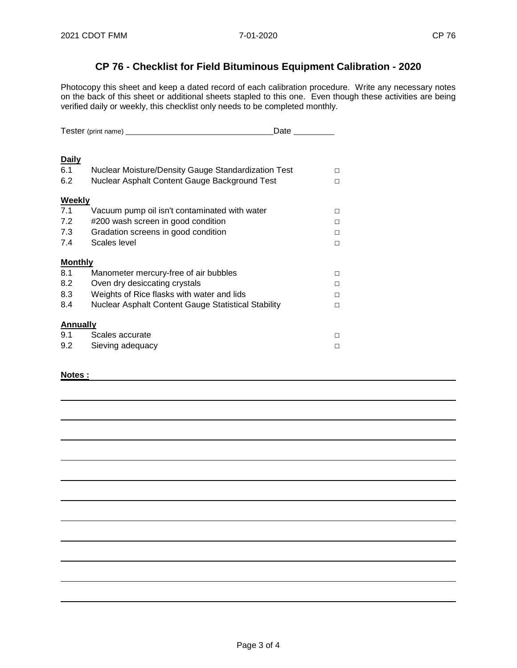# **CP 76 - Checklist for Field Bituminous Equipment Calibration - 2020**

Photocopy this sheet and keep a dated record of each calibration procedure. Write any necessary notes on the back of this sheet or additional sheets stapled to this one. Even though these activities are being verified daily or weekly, this checklist only needs to be completed monthly.

|                 | Tester (print name) ___                             | Date |
|-----------------|-----------------------------------------------------|------|
|                 |                                                     |      |
| <b>Daily</b>    |                                                     |      |
| 6.1             | Nuclear Moisture/Density Gauge Standardization Test | п    |
| 6.2             | Nuclear Asphalt Content Gauge Background Test       | п    |
| Weekly          |                                                     |      |
| 7.1             | Vacuum pump oil isn't contaminated with water       | п    |
| 7.2             | #200 wash screen in good condition                  | п    |
| 7.3             | Gradation screens in good condition                 | п    |
| 7.4             | Scales level                                        | п    |
| <b>Monthly</b>  |                                                     |      |
| 8.1             | Manometer mercury-free of air bubbles               | п    |
| 8.2             | Oven dry desiccating crystals                       | п    |
| 8.3             | Weights of Rice flasks with water and lids          | п    |
| 8.4             | Nuclear Asphalt Content Gauge Statistical Stability | п    |
| <b>Annually</b> |                                                     |      |
| 9.1             | Scales accurate                                     | П    |
| 9.2             | Sieving adequacy                                    | п    |

#### **Notes :**